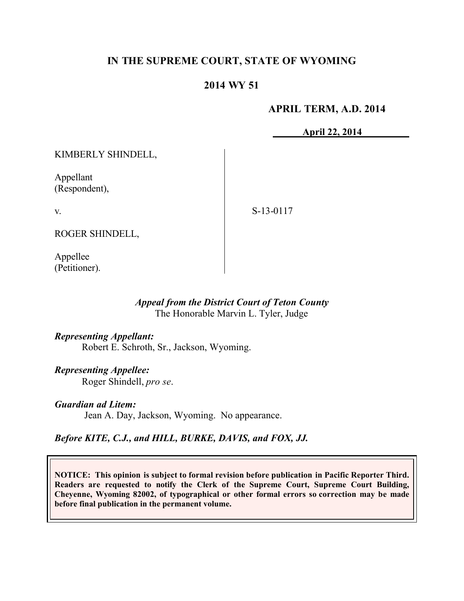# **IN THE SUPREME COURT, STATE OF WYOMING**

# **2014 WY 51**

## **APRIL TERM, A.D. 2014**

**April 22, 2014**

KIMBERLY SHINDELL,

Appellant (Respondent),

v.

S-13-0117

ROGER SHINDELL,

Appellee (Petitioner).

## *Appeal from the District Court of Teton County* The Honorable Marvin L. Tyler, Judge

*Representing Appellant:* Robert E. Schroth, Sr., Jackson, Wyoming.

*Representing Appellee:* Roger Shindell, *pro se*.

*Guardian ad Litem:* Jean A. Day, Jackson, Wyoming. No appearance.

*Before KITE, C.J., and HILL, BURKE, DAVIS, and FOX, JJ.*

**NOTICE: This opinion is subject to formal revision before publication in Pacific Reporter Third. Readers are requested to notify the Clerk of the Supreme Court, Supreme Court Building, Cheyenne, Wyoming 82002, of typographical or other formal errors so correction may be made before final publication in the permanent volume.**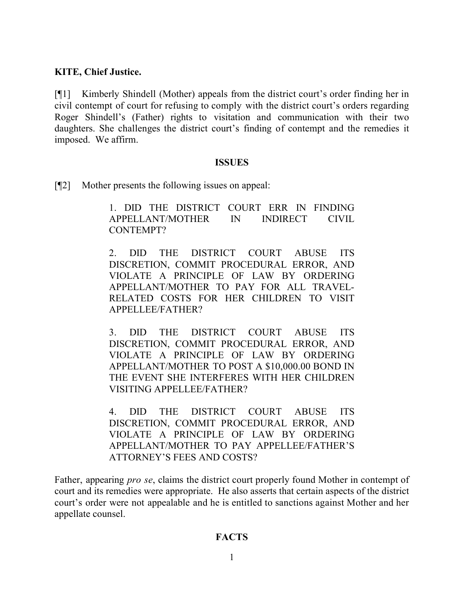#### **KITE, Chief Justice.**

[¶1] Kimberly Shindell (Mother) appeals from the district court's order finding her in civil contempt of court for refusing to comply with the district court's orders regarding Roger Shindell's (Father) rights to visitation and communication with their two daughters. She challenges the district court's finding of contempt and the remedies it imposed. We affirm.

#### **ISSUES**

[¶2] Mother presents the following issues on appeal:

1. DID THE DISTRICT COURT ERR IN FINDING APPELLANT/MOTHER IN INDIRECT CIVIL CONTEMPT?

2. DID THE DISTRICT COURT ABUSE ITS DISCRETION, COMMIT PROCEDURAL ERROR, AND VIOLATE A PRINCIPLE OF LAW BY ORDERING APPELLANT/MOTHER TO PAY FOR ALL TRAVEL-RELATED COSTS FOR HER CHILDREN TO VISIT APPELLEE/FATHER?

3. DID THE DISTRICT COURT ABUSE ITS DISCRETION, COMMIT PROCEDURAL ERROR, AND VIOLATE A PRINCIPLE OF LAW BY ORDERING APPELLANT/MOTHER TO POST A \$10,000.00 BOND IN THE EVENT SHE INTERFERES WITH HER CHILDREN VISITING APPELLEE/FATHER?

4. DID THE DISTRICT COURT ABUSE ITS DISCRETION, COMMIT PROCEDURAL ERROR, AND VIOLATE A PRINCIPLE OF LAW BY ORDERING APPELLANT/MOTHER TO PAY APPELLEE/FATHER'S ATTORNEY'S FEES AND COSTS?

Father, appearing *pro se*, claims the district court properly found Mother in contempt of court and its remedies were appropriate. He also asserts that certain aspects of the district court's order were not appealable and he is entitled to sanctions against Mother and her appellate counsel.

#### **FACTS**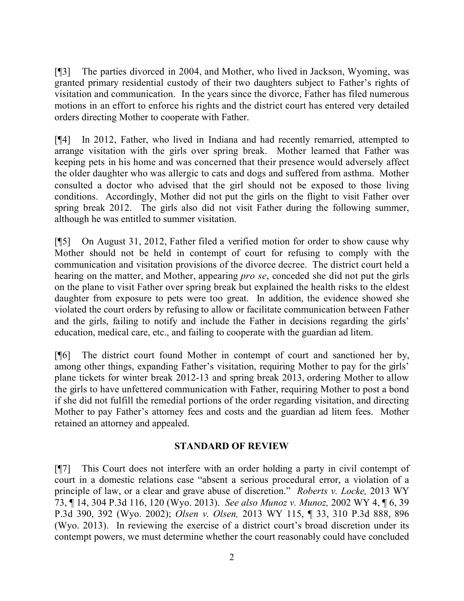[¶3] The parties divorced in 2004, and Mother, who lived in Jackson, Wyoming, was granted primary residential custody of their two daughters subject to Father's rights of visitation and communication. In the years since the divorce, Father has filed numerous motions in an effort to enforce his rights and the district court has entered very detailed orders directing Mother to cooperate with Father.

[¶4] In 2012, Father, who lived in Indiana and had recently remarried, attempted to arrange visitation with the girls over spring break. Mother learned that Father was keeping pets in his home and was concerned that their presence would adversely affect the older daughter who was allergic to cats and dogs and suffered from asthma. Mother consulted a doctor who advised that the girl should not be exposed to those living conditions. Accordingly, Mother did not put the girls on the flight to visit Father over spring break 2012. The girls also did not visit Father during the following summer, although he was entitled to summer visitation.

[¶5] On August 31, 2012, Father filed a verified motion for order to show cause why Mother should not be held in contempt of court for refusing to comply with the communication and visitation provisions of the divorce decree. The district court held a hearing on the matter, and Mother, appearing *pro se*, conceded she did not put the girls on the plane to visit Father over spring break but explained the health risks to the eldest daughter from exposure to pets were too great. In addition, the evidence showed she violated the court orders by refusing to allow or facilitate communication between Father and the girls, failing to notify and include the Father in decisions regarding the girls' education, medical care, etc., and failing to cooperate with the guardian ad litem.

[¶6] The district court found Mother in contempt of court and sanctioned her by, among other things, expanding Father's visitation, requiring Mother to pay for the girls' plane tickets for winter break 2012-13 and spring break 2013, ordering Mother to allow the girls to have unfettered communication with Father, requiring Mother to post a bond if she did not fulfill the remedial portions of the order regarding visitation, and directing Mother to pay Father's attorney fees and costs and the guardian ad litem fees. Mother retained an attorney and appealed.

## **STANDARD OF REVIEW**

[¶7] This Court does not interfere with an order holding a party in civil contempt of court in a domestic relations case "absent a serious procedural error, a violation of a principle of law, or a clear and grave abuse of discretion." *Roberts v. Locke,* 2013 WY 73, ¶ 14, 304 P.3d 116, 120 (Wyo. 2013). *See also Munoz v. Munoz,* 2002 WY 4, ¶ 6, 39 P.3d 390, 392 (Wyo. 2002); *Olsen v. Olsen,* 2013 WY 115, ¶ 33, 310 P.3d 888, 896 (Wyo. 2013). In reviewing the exercise of a district court's broad discretion under its contempt powers, we must determine whether the court reasonably could have concluded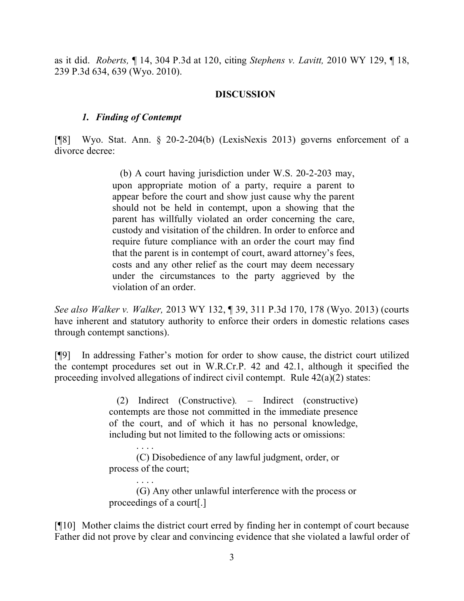as it did. *Roberts,* ¶ 14, 304 P.3d at 120, citing *Stephens v. Lavitt,* 2010 WY 129, ¶ 18, 239 P.3d 634, 639 (Wyo. 2010).

## **DISCUSSION**

#### *1. Finding of Contempt*

[¶8] Wyo. Stat. Ann. § 20-2-204(b) (LexisNexis 2013) governs enforcement of a divorce decree:

> (b) A court having jurisdiction under W.S. 20-2-203 may, upon appropriate motion of a party, require a parent to appear before the court and show just cause why the parent should not be held in contempt, upon a showing that the parent has willfully violated an order concerning the care, custody and visitation of the children. In order to enforce and require future compliance with an order the court may find that the parent is in contempt of court, award attorney's fees, costs and any other relief as the court may deem necessary under the circumstances to the party aggrieved by the violation of an order.

*See also Walker v. Walker,* 2013 WY 132, ¶ 39, 311 P.3d 170, 178 (Wyo. 2013) (courts have inherent and statutory authority to enforce their orders in domestic relations cases through contempt sanctions).

[¶9] In addressing Father's motion for order to show cause, the district court utilized the contempt procedures set out in W.R.Cr.P. 42 and 42.1, although it specified the proceeding involved allegations of indirect civil contempt. Rule 42(a)(2) states:

> (2) Indirect (Constructive)*.* – Indirect (constructive) contempts are those not committed in the immediate presence of the court, and of which it has no personal knowledge, including but not limited to the following acts or omissions:

. . . . (C) Disobedience of any lawful judgment, order, or process of the court;

. . . . (G) Any other unlawful interference with the process or proceedings of a court[.]

[¶10] Mother claims the district court erred by finding her in contempt of court because Father did not prove by clear and convincing evidence that she violated a lawful order of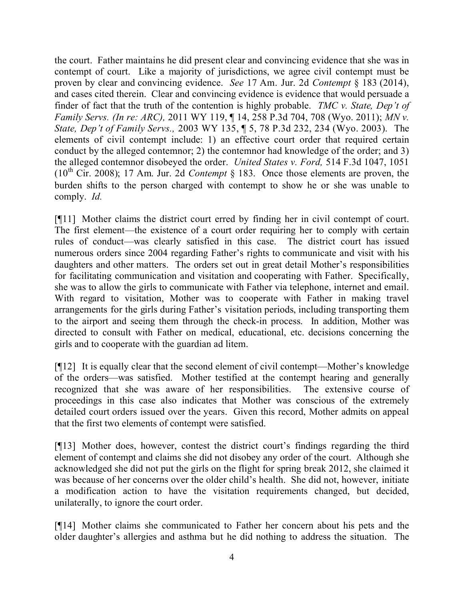the court. Father maintains he did present clear and convincing evidence that she was in contempt of court. Like a majority of jurisdictions, we agree civil contempt must be proven by clear and convincing evidence. *See* 17 Am. Jur. 2d *Contempt* § 183 (2014), and cases cited therein. Clear and convincing evidence is evidence that would persuade a finder of fact that the truth of the contention is highly probable. *TMC v. State, Dep't of Family Servs. (In re: ARC),* 2011 WY 119, ¶ 14, 258 P.3d 704, 708 (Wyo. 2011); *MN v. State, Dep't of Family Servs.,* 2003 WY 135, ¶ 5, 78 P.3d 232, 234 (Wyo. 2003). The elements of civil contempt include: 1) an effective court order that required certain conduct by the alleged contemnor; 2) the contemnor had knowledge of the order; and 3) the alleged contemnor disobeyed the order. *United States v. Ford,* 514 F.3d 1047, 1051  $(10<sup>th</sup> Cir. 2008)$ ; 17 Am. Jur. 2d *Contempt* § 183. Once those elements are proven, the burden shifts to the person charged with contempt to show he or she was unable to comply. *Id.*

[¶11] Mother claims the district court erred by finding her in civil contempt of court. The first element—the existence of a court order requiring her to comply with certain rules of conduct—was clearly satisfied in this case. The district court has issued numerous orders since 2004 regarding Father's rights to communicate and visit with his daughters and other matters. The orders set out in great detail Mother's responsibilities for facilitating communication and visitation and cooperating with Father. Specifically, she was to allow the girls to communicate with Father via telephone, internet and email. With regard to visitation, Mother was to cooperate with Father in making travel arrangements for the girls during Father's visitation periods, including transporting them to the airport and seeing them through the check-in process. In addition, Mother was directed to consult with Father on medical, educational, etc. decisions concerning the girls and to cooperate with the guardian ad litem.

[¶12] It is equally clear that the second element of civil contempt—Mother's knowledge of the orders—was satisfied. Mother testified at the contempt hearing and generally recognized that she was aware of her responsibilities. The extensive course of proceedings in this case also indicates that Mother was conscious of the extremely detailed court orders issued over the years. Given this record, Mother admits on appeal that the first two elements of contempt were satisfied.

[¶13] Mother does, however, contest the district court's findings regarding the third element of contempt and claims she did not disobey any order of the court. Although she acknowledged she did not put the girls on the flight for spring break 2012, she claimed it was because of her concerns over the older child's health. She did not, however, initiate a modification action to have the visitation requirements changed, but decided, unilaterally, to ignore the court order.

[¶14] Mother claims she communicated to Father her concern about his pets and the older daughter's allergies and asthma but he did nothing to address the situation. The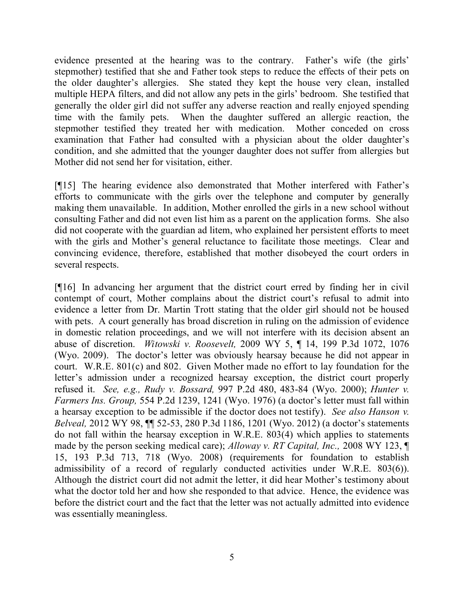evidence presented at the hearing was to the contrary. Father's wife (the girls' stepmother) testified that she and Father took steps to reduce the effects of their pets on the older daughter's allergies. She stated they kept the house very clean, installed multiple HEPA filters, and did not allow any pets in the girls' bedroom. She testified that generally the older girl did not suffer any adverse reaction and really enjoyed spending time with the family pets. When the daughter suffered an allergic reaction, the stepmother testified they treated her with medication. Mother conceded on cross examination that Father had consulted with a physician about the older daughter's condition, and she admitted that the younger daughter does not suffer from allergies but Mother did not send her for visitation, either.

[¶15] The hearing evidence also demonstrated that Mother interfered with Father's efforts to communicate with the girls over the telephone and computer by generally making them unavailable. In addition, Mother enrolled the girls in a new school without consulting Father and did not even list him as a parent on the application forms. She also did not cooperate with the guardian ad litem, who explained her persistent efforts to meet with the girls and Mother's general reluctance to facilitate those meetings. Clear and convincing evidence, therefore, established that mother disobeyed the court orders in several respects.

[¶16] In advancing her argument that the district court erred by finding her in civil contempt of court, Mother complains about the district court's refusal to admit into evidence a letter from Dr. Martin Trott stating that the older girl should not be housed with pets. A court generally has broad discretion in ruling on the admission of evidence in domestic relation proceedings, and we will not interfere with its decision absent an abuse of discretion. *Witowski v. Roosevelt,* 2009 WY 5, ¶ 14, 199 P.3d 1072, 1076 (Wyo. 2009). The doctor's letter was obviously hearsay because he did not appear in court. W.R.E. 801(c) and 802. Given Mother made no effort to lay foundation for the letter's admission under a recognized hearsay exception, the district court properly refused it. *See, e.g., Rudy v. Bossard,* 997 P.2d 480, 483-84 (Wyo. 2000); *Hunter v. Farmers Ins. Group,* 554 P.2d 1239, 1241 (Wyo. 1976) (a doctor's letter must fall within a hearsay exception to be admissible if the doctor does not testify). *See also Hanson v. Belveal,* 2012 WY 98, ¶¶ 52-53, 280 P.3d 1186, 1201 (Wyo. 2012) (a doctor's statements do not fall within the hearsay exception in W.R.E. 803(4) which applies to statements made by the person seeking medical care); *Alloway v. RT Capital, Inc.,* 2008 WY 123, ¶ 15, 193 P.3d 713, 718 (Wyo. 2008) (requirements for foundation to establish admissibility of a record of regularly conducted activities under W.R.E. 803(6)). Although the district court did not admit the letter, it did hear Mother's testimony about what the doctor told her and how she responded to that advice. Hence, the evidence was before the district court and the fact that the letter was not actually admitted into evidence was essentially meaningless.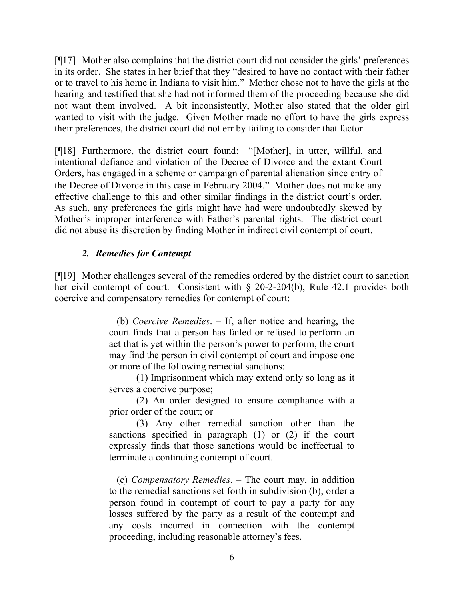[¶17] Mother also complains that the district court did not consider the girls' preferences in its order. She states in her brief that they "desired to have no contact with their father or to travel to his home in Indiana to visit him." Mother chose not to have the girls at the hearing and testified that she had not informed them of the proceeding because she did not want them involved. A bit inconsistently, Mother also stated that the older girl wanted to visit with the judge. Given Mother made no effort to have the girls express their preferences, the district court did not err by failing to consider that factor.

[¶18] Furthermore, the district court found: "[Mother], in utter, willful, and intentional defiance and violation of the Decree of Divorce and the extant Court Orders, has engaged in a scheme or campaign of parental alienation since entry of the Decree of Divorce in this case in February 2004." Mother does not make any effective challenge to this and other similar findings in the district court's order. As such, any preferences the girls might have had were undoubtedly skewed by Mother's improper interference with Father's parental rights. The district court did not abuse its discretion by finding Mother in indirect civil contempt of court.

# *2. Remedies for Contempt*

[¶19] Mother challenges several of the remedies ordered by the district court to sanction her civil contempt of court. Consistent with § 20-2-204(b), Rule 42.1 provides both coercive and compensatory remedies for contempt of court:

> (b) *Coercive Remedies*. – If, after notice and hearing, the court finds that a person has failed or refused to perform an act that is yet within the person's power to perform, the court may find the person in civil contempt of court and impose one or more of the following remedial sanctions:

> (1) Imprisonment which may extend only so long as it serves a coercive purpose;

> (2) An order designed to ensure compliance with a prior order of the court; or

> (3) Any other remedial sanction other than the sanctions specified in paragraph (1) or (2) if the court expressly finds that those sanctions would be ineffectual to terminate a continuing contempt of court.

> (c) *Compensatory Remedies*. – The court may, in addition to the remedial sanctions set forth in subdivision (b), order a person found in contempt of court to pay a party for any losses suffered by the party as a result of the contempt and any costs incurred in connection with the contempt proceeding, including reasonable attorney's fees.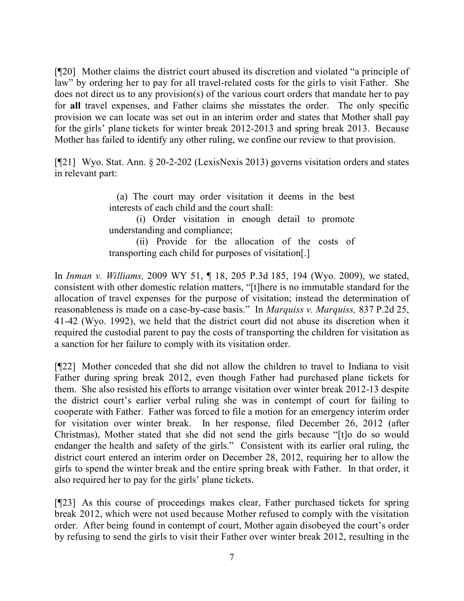[¶20] Mother claims the district court abused its discretion and violated "a principle of law" by ordering her to pay for all travel-related costs for the girls to visit Father. She does not direct us to any provision(s) of the various court orders that mandate her to pay for **all** travel expenses, and Father claims she misstates the order. The only specific provision we can locate was set out in an interim order and states that Mother shall pay for the girls' plane tickets for winter break 2012-2013 and spring break 2013. Because Mother has failed to identify any other ruling, we confine our review to that provision.

[¶21] Wyo. Stat. Ann. § 20-2-202 (LexisNexis 2013) governs visitation orders and states in relevant part:

> (a) The court may order visitation it deems in the best interests of each child and the court shall:

> (i) Order visitation in enough detail to promote understanding and compliance;

> (ii) Provide for the allocation of the costs of transporting each child for purposes of visitation[.]

In *Inman v. Williams,* 2009 WY 51, ¶ 18, 205 P.3d 185, 194 (Wyo. 2009), we stated, consistent with other domestic relation matters, "[t]here is no immutable standard for the allocation of travel expenses for the purpose of visitation; instead the determination of reasonableness is made on a case-by-case basis." In *Marquiss v. Marquiss,* 837 P.2d 25, 41-42 (Wyo. 1992), we held that the district court did not abuse its discretion when it required the custodial parent to pay the costs of transporting the children for visitation as a sanction for her failure to comply with its visitation order.

[¶22] Mother conceded that she did not allow the children to travel to Indiana to visit Father during spring break 2012, even though Father had purchased plane tickets for them. She also resisted his efforts to arrange visitation over winter break 2012-13 despite the district court's earlier verbal ruling she was in contempt of court for failing to cooperate with Father. Father was forced to file a motion for an emergency interim order for visitation over winter break. In her response, filed December 26, 2012 (after Christmas), Mother stated that she did not send the girls because "[t]o do so would endanger the health and safety of the girls." Consistent with its earlier oral ruling, the district court entered an interim order on December 28, 2012, requiring her to allow the girls to spend the winter break and the entire spring break with Father. In that order, it also required her to pay for the girls' plane tickets.

[¶23] As this course of proceedings makes clear, Father purchased tickets for spring break 2012, which were not used because Mother refused to comply with the visitation order. After being found in contempt of court, Mother again disobeyed the court's order by refusing to send the girls to visit their Father over winter break 2012, resulting in the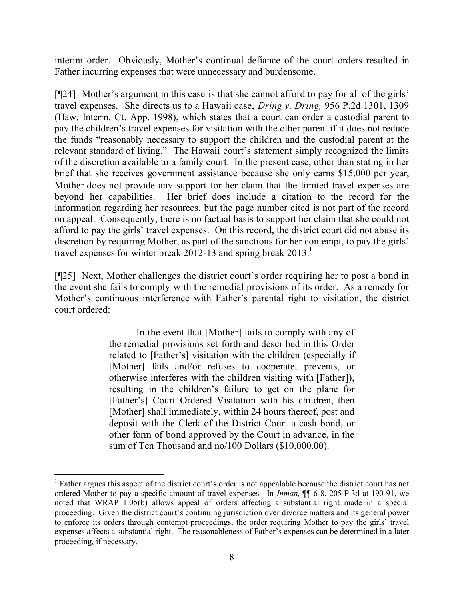interim order. Obviously, Mother's continual defiance of the court orders resulted in Father incurring expenses that were unnecessary and burdensome.

[¶24] Mother's argument in this case is that she cannot afford to pay for all of the girls' travel expenses. She directs us to a Hawaii case, *Dring v. Dring,* 956 P.2d 1301, 1309 (Haw. Interm. Ct. App. 1998), which states that a court can order a custodial parent to pay the children's travel expenses for visitation with the other parent if it does not reduce the funds "reasonably necessary to support the children and the custodial parent at the relevant standard of living." The Hawaii court's statement simply recognized the limits of the discretion available to a family court. In the present case, other than stating in her brief that she receives government assistance because she only earns \$15,000 per year, Mother does not provide any support for her claim that the limited travel expenses are beyond her capabilities. Her brief does include a citation to the record for the information regarding her resources, but the page number cited is not part of the record on appeal. Consequently, there is no factual basis to support her claim that she could not afford to pay the girls' travel expenses. On this record, the district court did not abuse its discretion by requiring Mother, as part of the sanctions for her contempt, to pay the girls' travel expenses for winter break 2012-13 and spring break  $2013$ <sup>1</sup>

[¶25] Next, Mother challenges the district court's order requiring her to post a bond in the event she fails to comply with the remedial provisions of its order. As a remedy for Mother's continuous interference with Father's parental right to visitation, the district court ordered:

> In the event that [Mother] fails to comply with any of the remedial provisions set forth and described in this Order related to [Father's] visitation with the children (especially if [Mother] fails and/or refuses to cooperate, prevents, or otherwise interferes with the children visiting with [Father]), resulting in the children's failure to get on the plane for [Father's] Court Ordered Visitation with his children, then [Mother] shall immediately, within 24 hours thereof, post and deposit with the Clerk of the District Court a cash bond, or other form of bond approved by the Court in advance, in the sum of Ten Thousand and no/100 Dollars (\$10,000.00).

 $\overline{a}$ 

<sup>&</sup>lt;sup>1</sup> Father argues this aspect of the district court's order is not appealable because the district court has not ordered Mother to pay a specific amount of travel expenses. In *Inman,* ¶¶ 6-8, 205 P.3d at 190-91, we noted that WRAP 1.05(b) allows appeal of orders affecting a substantial right made in a special proceeding. Given the district court's continuing jurisdiction over divorce matters and its general power to enforce its orders through contempt proceedings, the order requiring Mother to pay the girls' travel expenses affects a substantial right. The reasonableness of Father's expenses can be determined in a later proceeding, if necessary.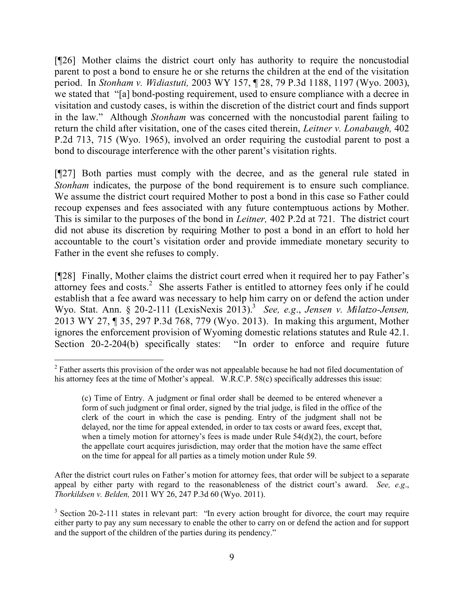[¶26] Mother claims the district court only has authority to require the noncustodial parent to post a bond to ensure he or she returns the children at the end of the visitation period. In *Stonham v. Widiastuti,* 2003 WY 157, ¶ 28, 79 P.3d 1188, 1197 (Wyo. 2003), we stated that "[a] bond-posting requirement, used to ensure compliance with a decree in visitation and custody cases, is within the discretion of the district court and finds support in the law." Although *Stonham* was concerned with the noncustodial parent failing to return the child after visitation, one of the cases cited therein, *Leitner v. Lonabaugh,* 402 P.2d 713, 715 (Wyo. 1965), involved an order requiring the custodial parent to post a bond to discourage interference with the other parent's visitation rights.

[¶27] Both parties must comply with the decree, and as the general rule stated in *Stonham* indicates, the purpose of the bond requirement is to ensure such compliance. We assume the district court required Mother to post a bond in this case so Father could recoup expenses and fees associated with any future contemptuous actions by Mother. This is similar to the purposes of the bond in *Leitner,* 402 P.2d at 721. The district court did not abuse its discretion by requiring Mother to post a bond in an effort to hold her accountable to the court's visitation order and provide immediate monetary security to Father in the event she refuses to comply.

[¶28] Finally, Mother claims the district court erred when it required her to pay Father's attorney fees and costs.<sup>2</sup> She asserts Father is entitled to attorney fees only if he could establish that a fee award was necessary to help him carry on or defend the action under Wyo. Stat. Ann. § 20-2-111 (LexisNexis 2013). 3 *See, e.g*., *Jensen v. Milatzo-Jensen,*  2013 WY 27, ¶ 35, 297 P.3d 768, 779 (Wyo. 2013). In making this argument, Mother ignores the enforcement provision of Wyoming domestic relations statutes and Rule 42.1. Section 20-2-204(b) specifically states: "In order to enforce and require future

 $\overline{a}$ 

After the district court rules on Father's motion for attorney fees, that order will be subject to a separate appeal by either party with regard to the reasonableness of the district court's award. *See, e.g*., *Thorkildsen v. Belden,* 2011 WY 26, 247 P.3d 60 (Wyo. 2011).

 $2<sup>2</sup>$  Father asserts this provision of the order was not appealable because he had not filed documentation of his attorney fees at the time of Mother's appeal. W.R.C.P. 58(c) specifically addresses this issue:

<sup>(</sup>c) Time of Entry. A judgment or final order shall be deemed to be entered whenever a form of such judgment or final order, signed by the trial judge, is filed in the office of the clerk of the court in which the case is pending. Entry of the judgment shall not be delayed, nor the time for appeal extended, in order to tax costs or award fees, except that, when a timely motion for attorney's fees is made under Rule  $54(d)(2)$ , the court, before the appellate court acquires jurisdiction, may order that the motion have the same effect on the time for appeal for all parties as a timely motion under Rule 59.

<sup>&</sup>lt;sup>3</sup> Section 20-2-111 states in relevant part: "In every action brought for divorce, the court may require either party to pay any sum necessary to enable the other to carry on or defend the action and for support and the support of the children of the parties during its pendency."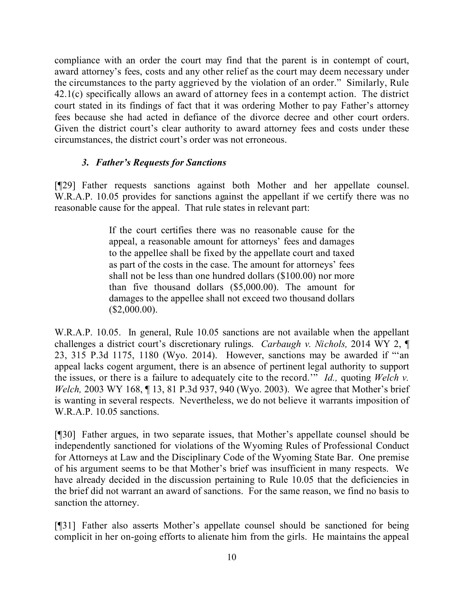compliance with an order the court may find that the parent is in contempt of court, award attorney's fees, costs and any other relief as the court may deem necessary under the circumstances to the party aggrieved by the violation of an order." Similarly, Rule 42.1(c) specifically allows an award of attorney fees in a contempt action. The district court stated in its findings of fact that it was ordering Mother to pay Father's attorney fees because she had acted in defiance of the divorce decree and other court orders. Given the district court's clear authority to award attorney fees and costs under these circumstances, the district court's order was not erroneous.

## *3. Father's Requests for Sanctions*

[¶29] Father requests sanctions against both Mother and her appellate counsel. W.R.A.P. 10.05 provides for sanctions against the appellant if we certify there was no reasonable cause for the appeal. That rule states in relevant part:

> If the court certifies there was no reasonable cause for the appeal, a reasonable amount for attorneys' fees and damages to the appellee shall be fixed by the appellate court and taxed as part of the costs in the case. The amount for attorneys' fees shall not be less than one hundred dollars (\$100.00) nor more than five thousand dollars (\$5,000.00). The amount for damages to the appellee shall not exceed two thousand dollars  $($2,000.00).$

W.R.A.P. 10.05. In general, Rule 10.05 sanctions are not available when the appellant challenges a district court's discretionary rulings. *Carbaugh v. Nichols,* 2014 WY 2, ¶ 23, 315 P.3d 1175, 1180 (Wyo. 2014). However, sanctions may be awarded if "'an appeal lacks cogent argument, there is an absence of pertinent legal authority to support the issues, or there is a failure to adequately cite to the record.'" *Id.,* quoting *Welch v. Welch,* 2003 WY 168, ¶ 13, 81 P.3d 937, 940 (Wyo. 2003). We agree that Mother's brief is wanting in several respects. Nevertheless, we do not believe it warrants imposition of W.R.A.P. 10.05 sanctions.

[¶30] Father argues, in two separate issues, that Mother's appellate counsel should be independently sanctioned for violations of the Wyoming Rules of Professional Conduct for Attorneys at Law and the Disciplinary Code of the Wyoming State Bar. One premise of his argument seems to be that Mother's brief was insufficient in many respects. We have already decided in the discussion pertaining to Rule 10.05 that the deficiencies in the brief did not warrant an award of sanctions. For the same reason, we find no basis to sanction the attorney.

[¶31] Father also asserts Mother's appellate counsel should be sanctioned for being complicit in her on-going efforts to alienate him from the girls. He maintains the appeal